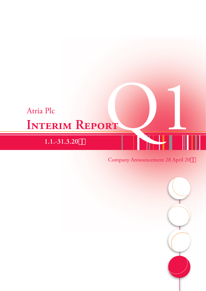# **Interim Report** Atria Plc Atria Plc<br> **INTERIM REPORT**<br>
1.1.-31.3.20#" Company Announcement 28 April 20#"

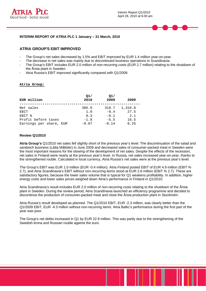



# **ATRIA GROUP'S EBIT IMPROVED**

- The Group's net sales decreased by 1.5% and EBIT improved by EUR 1.4 million year-on-year.
- The decrease in net sales was mainly due to discontinued business operations in Scandinavia.
- The Group's EBIT includes EUR 2.0 million of non-recurring costs (EUR 2.7 million) relating to the shutdown of the Årsta plant in Sweden.
- Atria Russia's EBIT improved significantly compared with Q1/2009.

#### **Atria Group:**

| EUR million             | O1/<br>2010 | Q1/<br>2009 | 2009    |
|-------------------------|-------------|-------------|---------|
| Net sales               | 305.9       | 310.7       | 1,316.0 |
| EBIT                    | 1.0         | $-0.4$      | 27.5    |
| EBIT %                  | 0.3         | $-0.1$      | 2.1     |
| Profit before taxes     | $-1.8$      | $-5.5$      | 16.5    |
| Earnings per share, EUR | $-0.07$     | $-0.14$     | 0.25    |

### **Review Q1/2010**

**Atria Group's** Q1/2010 net sales fell slightly short of the previous year's level. The discontinuation of the salad and sandwich business (Lätta Måltider) in June 2009 and decreased sales of consumer-packed meat in Sweden were the most important reasons for the slowing of the development of net sales. Despite the effects of the recession, net sales in Finland were nearly at the previous year's level. In Russia, net sales increased year-on-year, thanks to the strengthened rouble. Calculated in local currency, Atria Russia's net sales were at the previous year's level.

The Group's EBIT was EUR 1.0 million (EUR -0.4 million). Atria Finland posted EBIT of EUR 4.9 million (EBIT % 2.7), and Atria Scandinavia's EBIT without non-recurring items stood at EUR 2.6 million (EBIT % 2.7). These are satisfactory figures, because the lower sales volume that is typical for Q1 weakens profitability. In addition, higher energy costs and lower sales prices weighed down Atria's performance in Finland in Q1/2010.

Atria Scandinavia's result includes EUR 2.0 million of non-recurring costs relating to the shutdown of the Årsta plant in Sweden. During the review period, Atria Scandinavia launched an efficiency programme and decided to discontinue the production of consumer-packed meat and close the Årsta production plant in Stockholm.

Atria Russia's result developed as planned. The Q1/2010 EBIT, EUR -2.3 million, was clearly better than the Q1/2009 EBIT, EUR -4.3 million without non-recurring items. Atria Baltic's performance during the first part of the year was poor.

The Group's net debts increased in Q1 by EUR 22.9 million. This was partly due to the strengthening of the Swedish krona and Russian rouble against the euro.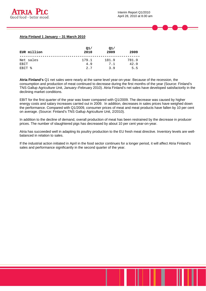

#### **Atria Finland 1 January – 31 March 2010**

| EUR million       | Q1/<br>2010 | Q1/<br>2009 | 2009  |
|-------------------|-------------|-------------|-------|
| Net sales         | 179.1       | 181.9       | 781.9 |
| EBIT              | 4.9         | 7.1         | 42.9  |
| <b>EBIT &amp;</b> | 2.7         | 3 G         | 5.5   |

**Atria Finland's** Q1 net sales were nearly at the same level year-on-year. Because of the recession, the consumption and production of meat continued to decrease during the first months of the year (Source: Finland's TNS Gallup Agriculture Unit, January–February 2010). Atria Finland's net sales have developed satisfactorily in the declining market conditions.

EBIT for the first quarter of the year was lower compared with Q1/2009. The decrease was caused by higher energy costs and salary increases carried out in 2009. In addition, decreases in sales prices have weighed down the performance. Compared with Q1/2009, consumer prices of meat and meat products have fallen by 10 per cent on average. (Source: Finland's TNS Gallup Agriculture Unit, 2/2010).

In addition to the decline of demand, overall production of meat has been restrained by the decrease in producer prices. The number of slaughtered pigs has decreased by about 10 per cent year-on-year.

Atria has succeeded well in adapting its poultry production to the EU fresh meat directive. Inventory levels are wellbalanced in relation to sales.

If the industrial action initiated in April in the food sector continues for a longer period, it will affect Atria Finland's sales and performance significantly in the second quarter of the year.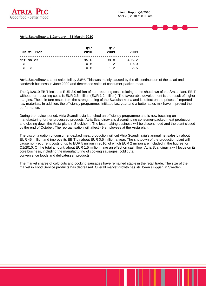# **Atria Scandinavia 1 January – 31 March 2010**

| EUR million       | Q1/<br>2010 | Q1/<br>2009 | 2009          |
|-------------------|-------------|-------------|---------------|
| Net sales<br>EBIT | 95.0<br>0.6 | 98.8<br>1.2 | 405.2<br>10.0 |
| <b>EBIT %</b>     | 0.6         | 1.2         | 2.5           |

**Atria Scandinavia's** net sales fell by 3.8%. This was mainly caused by the discontinuation of the salad and sandwich business in June 2009 and decreased sales of consumer-packed meat.

The Q1/2010 EBIT includes EUR 2.0 million of non-recurring costs relating to the shutdown of the Årsta plant. EBIT without non-recurring costs is EUR 2.6 million (EUR 1.2 million). The favourable development is the result of higher margins. These in turn result from the strengthening of the Swedish krona and its effect on the prices of imported raw materials. In addition, the efficiency programmes initiated last year and a better sales mix have improved the performance.

During the review period, Atria Scandinavia launched an efficiency programme and is now focusing on manufacturing further processed products. Atria Scandinavia is discontinuing consumer-packed meat production and closing down the Årsta plant in Stockholm. The loss-making business will be discontinued and the plant closed by the end of October. The reorganisation will affect 49 employees at the Årsta plant.

The discontinuation of consumer-packed meat production will cut Atria Scandinavia's annual net sales by about EUR 45 million and improve its EBIT by about EUR 0.5 million a year. The shutdown of the production plant will cause non-recurrent costs of up to EUR 5 million in 2010, of which EUR 2 million are included in the figures for Q1/2010. Of the total amount, about EUR 1.5 million have an effect on cash flow. Atria Scandinavia will focus on its core business, including the manufacturing of cooking sausages, cold cuts, convenience foods and delicatessen products.

The market shares of cold cuts and cooking sausages have remained stable in the retail trade. The size of the market in Food Service products has decreased. Overall market growth has still been sluggish in Sweden.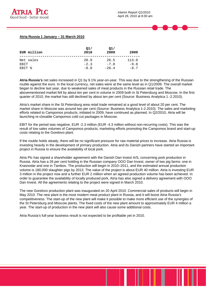

#### **Atria Russia 1 January – 31 March 2010**

| EUR million | Q1/<br>2010 | Q1/<br>2009 | 2009   |
|-------------|-------------|-------------|--------|
| Net sales   | 28.9        | 26.5        | 113.0  |
| <b>FBIT</b> | $-2.3$      | $-7.0$      | $-9.8$ |
| EBIT %      | $-8.0$      | $-26.4$     | $-8.7$ |

**Atria Russia's** net sales increased in Q1 by 9.1% year-on-year. This was due to the strengthening of the Russian rouble against the euro. In the local currency, net sales were at the same level as in Q1/2009. The overall market began to decline last year, due to weakened sales of meat products in the Russian retail trade. The abovementioned market fell by about ten per cent in volume in 2009 both in St Petersburg and Moscow. In the first quarter of 2010, the market has still declined by about ten per cent (Source: Business Analytica 1.-2.2010).

Atria's market share in the St Petersburg area retail trade remained at a good level of about 20 per cent. The market share in Moscow was around two per cent (Source: Business Analytica 1-2.2010). The sales and marketing efforts related to Campomos products, initiated in 2009, have continued as planned. In Q2/2010, Atria will be launching re-closable Campomos cold cut packages in Moscow.

EBIT for the period was negative, EUR -2.3 million (EUR -4.3 million without non-recurring costs). This was the result of low sales volumes of Campomos products, marketing efforts promoting the Campomos brand and start-up costs relating to the Gorelovo plant.

If the rouble holds steady, there will be no significant pressure for raw material prices to increase. Atria Russia is investing heavily in the development of primary production. Atria and its Danish partners have started an important project in Russia to ensure the availability of local pork.

Atria Plc has signed a shareholder agreement with the Danish Dan Invest A/S, concerning pork production in Russia. Atria has a 26 per cent holding in the Russian company OOO Dan Invest, owner of two pig farms: one in Krasnodar and one in Tambov. The production will begin in 2010–2011, and the estimated annual production volume is 180,000 slaughter pigs by 2013. The value of the project is about EUR 40 million. Atria is investing EUR 3 million in the project now and a further EUR 2 million when an agreed production volume has been achieved. In order to guarantee the availability of locally produced pork, Atria has also signed a delivery agreement with OOO Dan Invest. All the agreements relating to the project were signed in March 2010.

The new Gorelovo production plant was inaugurated on 20 April 2010. Commercial sales of products will begin in May 2010. The new plant is the most modern meat product plant in Russia, and it will boost Atria Russia's competitiveness. The start-up of the new plant will make it possible to make more efficient use of the synergies of the St Petersburg and Moscow plants. The fixed costs of the new plant amount to approximately EUR 4 million a year. The start-up of production in the new plant will also cause some additional costs.

Atria Russia's full-year business result is not expected to be profitable yet in 2010.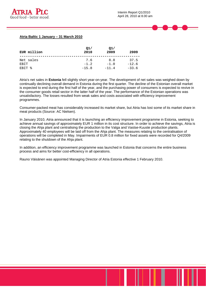

### **Atria Baltic 1 January – 31 March 2010**

| EUR million | Q1/<br>2010 | Q1/<br>2009 | 2009    |
|-------------|-------------|-------------|---------|
| Net sales   | 7.6         | 8.8         | 37.5    |
| <b>FBIT</b> | $-1.2$      | $-1.0$      | $-12.6$ |
| EBIT %      | $-15.8$     | $-11.4$     | $-33.6$ |

Atria's net sales in **Estonia** fell slightly short year-on-year. The development of net sales was weighed down by continually declining overall demand in Estonia during the first quarter. The decline of the Estonian overall market is expected to end during the first half of the year, and the purchasing power of consumers is expected to revive in the consumer goods retail sector in the latter half of the year. The performance of the Estonian operations was unsatisfactory. The losses resulted from weak sales and costs associated with efficiency improvement programmes.

Consumer-packed meat has considerably increased its market share, but Atria has lost some of its market share in meat products (Source: AC Nielsen).

In January 2010, Atria announced that it is launching an efficiency improvement programme in Estonia, seeking to achieve annual savings of approximately EUR 1 million in its cost structure. In order to achieve the savings, Atria is closing the Ahja plant and centralising the production to the Valga and Vastse-Kuuste production plants. Approximately 40 employees will be laid off from the Ahja plant. The measures relating to the centralisation of operations will be completed in May. Impairments of EUR 0.8 million for fixed assets were recorded for Q4/2009 relating to the shutdown of the Ahja plant.

In addition, an efficiency improvement programme was launched in Estonia that concerns the entire business process and aims for better cost-efficiency in all operations.

Rauno Väisänen was appointed Managing Director of Atria Estonia effective 1 February 2010.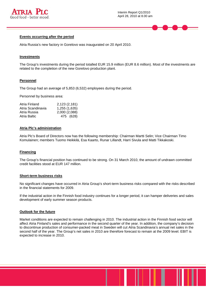



Atria Russia's new factory in Gorelovo was inaugurated on 20 April 2010.

#### **Investments**

The Group's investments during the period totalled EUR 15.9 million (EUR 8.6 million). Most of the investments are related to the completion of the new Gorelovo production plant.

#### **Personnel**

The Group had an average of 5,853 (6,532) employees during the period.

Personnel by business area:

| Atria Finland     | 2,123 (2,181) |
|-------------------|---------------|
| Atria Scandinavia | 1,255 (1,635) |
| Atria Russia      | 2,000 (2,088) |
| Atria Baltic      | 475 (628)     |

### **Atria Plc's administration**

Atria Plc's Board of Directors now has the following membership: Chairman Martti Selin; Vice Chairman Timo Komulainen; members Tuomo Heikkilä, Esa Kaarto, Runar Lillandt, Harri Sivula and Matti Tikkakoski.

#### **Financing**

The Group's financial position has continued to be strong. On 31 March 2010, the amount of undrawn committed credit facilities stood at EUR 147 million.

#### **Short-term business risks**

No significant changes have occurred in Atria Group's short-term business risks compared with the risks described in the financial statements for 2009.

If the industrial action in the Finnish food industry continues for a longer period, it can hamper deliveries and sales development of early summer season products.

#### **Outlook for the future**

Market conditions are expected to remain challenging in 2010. The industrial action in the Finnish food sector will affect Atria Finland's sales and performance in the second quarter of the year. In addition, the company's decision to discontinue production of consumer-packed meat in Sweden will cut Atria Scandinavia's annual net sales in the second half of the year. The Group's net sales in 2010 are therefore forecast to remain at the 2009 level. EBIT is expected to increase in 2010.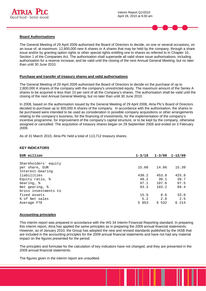

The General Meeting of 29 April 2009 authorised the Board of Directors to decide, on one or several occasions, on an issue of, at maximum, 12,800,000 new A shares or A shares that may be held by the company, through a share issue and/or by granting option rights or other special rights entitling one to shares as referred to in Chapter 10, Section 1 of the Companies Act. The authorisation shall supersede all valid share issue authorisations, including authorisation for a reserve increase, and be valid until the closing of the next Annual General Meeting, but no later than until 30 June 2010.

#### **Purchase and transfer of treasury shares and valid authorisations**

The General Meeting of 29 April 2009 authorised the Board of Directors to decide on the purchase of up to 2,800,000 A shares of the company with the company's unrestricted equity. The maximum amount of the Series A shares to be acquired is less than 10 per cent of all the Company's shares. The authorisation shall be valid until the closing of the next Annual General Meeting, but no later than until 30 June 2010.

In 2008, based on the authorisation issued by the General Meeting of 29 April 2008, Atria Plc's Board of Directors decided to purchase up to 300,000 A shares of the company. In accordance with the authorisation, the shares to be purchased were intended to be used as consideration in possible company acquisitions or other arrangements relating to the company's business, for the financing of investments, for the implementation of the company's incentive programme, for improvement of the company's capital structure, or to be kept by the company, otherwise assigned or cancelled. The acquisition of treasury shares began on 29 September 2008 and ended on 3 February 2009.

As of 31 March 2010, Atria Plc held a total of 113,712 treasury shares.

## **KEY INDICATORS**

| EUR million          | $1 - 3/10$ | $1 - 3/09$ | $1 - 12/09$ |
|----------------------|------------|------------|-------------|
|                      |            |            |             |
| Shareholders' equity |            |            |             |
| per share, EUR       | 15.60      | 14.86      | 15.39       |
| Interest-bearing     |            |            |             |
| liabilities          | 430.2      | 453.8      | 425.8       |
| Equity ratio, %      | 40.2       | 39.1       | 39.7        |
| Gearing, %           | 97.1       | 107.6      | 97.5        |
| Net gearing, %       | 93.3       | 103.2      | 89.4        |
| Gross investments to |            |            |             |
| fixed assets         | 15.9       | 8.6        | 33.0        |
| % of Net sales       | 5.2        | 2.8        | 2.5         |
| Average FTE          | 5 853      | 6 532      | 6 214       |

#### **Accounting principles**

This interim report was prepared in accordance with the IAS 34 Interim Financial Reporting standard. In preparing this interim report, Atria has applied the same principles as in preparing the 2009 annual financial statements. However, as of January 2010, the Group has adopted the new and revised standards published by the IASB that are included in the accounting principles for the 2009 annual financial statements and have not had any material impact on the figures presented for the period.

The principles and formulae for the calculation of key indicators have not changed, and they are presented in the 2009 annual financial statements.

The figures given in the interim report are unaudited.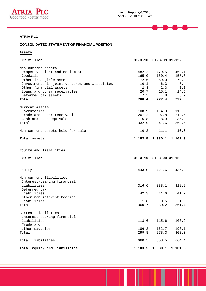

—

 $\equiv$ 

# **ATRIA PLC**

# **CONSOLIDATED STATEMENT OF FINANCIAL POSITION**

# **Assets**

| EUR million                                  |         |             | $31 - 3 - 10$ $31 - 3 - 09$ $31 - 12 - 09$ |
|----------------------------------------------|---------|-------------|--------------------------------------------|
|                                              |         |             |                                            |
| Non-current assets                           |         |             |                                            |
| Property, plant and equipment                | 482.2   | 479.5       | 469.1                                      |
| Goodwill                                     | 165.0   | 150.4       | 157.8                                      |
| Other intangible assets                      |         | 72.6 69.0   | 70.0                                       |
| Investments in joint ventures and associates |         | $10.1$ 6.3  | 7.4                                        |
| Other financial assets                       | 2.3     | 2.3         | 2.3                                        |
| Loans and other receivables                  | 20.7    | 15.1        | 14.5                                       |
| Deferred tax assets                          |         | $7.5$ 4.8   | 6.7                                        |
| Total                                        |         | 760.4 727.4 | 727.8                                      |
| Current assets                               |         |             |                                            |
| Inventories                                  | 108.9   | 114.9       | 115.6                                      |
| Trade and other receivables                  | 207.2   | 207.8       | 212.6                                      |
| Cash and cash equivalents                    |         | 16.8 18.9   | 35.3                                       |
| Total                                        | 332.9   | 341.6       | 363.5                                      |
| Non-current assets held for sale             | 10.2    | 11.1        | 10.0                                       |
| Total assets                                 | 1 103.5 | 1 080.1     | 1 101.3                                    |

# **Equity and liabilities**

| EUR million                                           |         | $31 - 3 - 10$ $31 - 3 - 09$ $31 - 12 - 09$ |         |
|-------------------------------------------------------|---------|--------------------------------------------|---------|
|                                                       |         |                                            |         |
| Equity                                                |         | 443.0 421.6                                | 436.9   |
| Non-current liabilities<br>Interest-bearing financial |         |                                            |         |
| liabilities<br>Deferred tax                           | 316.6   | 338.1                                      | 318.9   |
| liabilities<br>Other non-interest-bearing             | 42.3    | 41.6                                       | 41.2    |
| liabilities                                           | 1.8     | 0.5                                        | 1.3     |
| Total                                                 | 360.7   | 380.2                                      | 361.4   |
| Current liabilities<br>Interest-bearing financial     |         |                                            |         |
| liabilities<br>Trade and                              | 113.6   | 115.6                                      | 106.9   |
| other payables                                        | 186.2   | 162.7                                      | 196.1   |
| Total                                                 | 299.8   | 278.3                                      | 303.0   |
| Total liabilities                                     | 660.5   | 658.5                                      | 664.4   |
| Total equity and liabilities                          | 1 103.5 | 1 080.1                                    | 1 101.3 |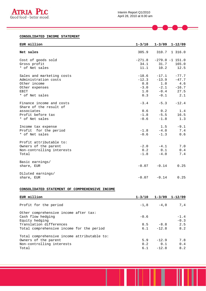

−

# **CONSOLIDATED INCOME STATEMENT**

| EUR million               | $1 - 3/10$ |         | $1 - 3/09$ $1 - 12/09$ |
|---------------------------|------------|---------|------------------------|
|                           |            |         |                        |
| Net sales                 | 305.9      | 310.7   | 1 316.0                |
| Cost of goods sold        | $-271.8$   |         | $-279.0 -1 151.0$      |
| Gross profit              | 34.1       | 31.7    | 165.0                  |
| * of Net sales            | 11.1       | 10.2    | 12.5                   |
| Sales and marketing costs | $-18.6$    | $-17.1$ | $-77.7$                |
| Administration costs      | $-12.3$    | $-13.9$ | $-47.7$                |
| Other income              | 0.8        | 1.0     | 4.6                    |
| Other expenses            | $-3.0$     | $-2.1$  | $-16.7$                |
| <b>EBIT</b>               | 1.0        | $-0.4$  | 27.5                   |
| * of Net sales            | 0.3        | $-0.1$  | 2.1                    |
| Finance income and costs  | $-3.4$     | $-5.3$  | $-12.4$                |
| Share of the result of    |            |         |                        |
| associates                | 0.6        | 0.2     | 1.4                    |
| Profit before tax         | $-1.8$     | $-5.5$  | 16.5                   |
| * of Net sales            | $-0.6$     |         |                        |
|                           |            | $-1.8$  | 1.3                    |
| Income tax expense        |            | 1.5     | $-9.1$                 |
| Profit for the period     | $-1.8$     | $-4.0$  | 7.4                    |
| * of Net sales            | $-0.6$     | $-1.3$  | 0.6                    |
| Profit attributable to:   |            |         |                        |
| Owners of the parent      | $-2.0$     | $-4.1$  | 7.0                    |
| Non-controlling interests | 0.2        | 0.1     | 0.4                    |
| Total                     | $-1.8$     | $-4.0$  | 7.4                    |
|                           |            |         |                        |
| Basic earnings/           |            |         |                        |
| share, EUR                | $-0.07$    | $-0.14$ | 0.25                   |
| Diluted earnings/         |            |         |                        |
| share, EUR                | $-0.07$    | $-0.14$ | 0.25                   |

# **CONSOLIDATED STATEMENT OF COMPREHENSIVE INCOME**

| EUR million                                 | $1 - 3/10$ |              | $1 - 3/09$ $1 - 12/09$ |
|---------------------------------------------|------------|--------------|------------------------|
| Profit for the period                       |            | $-1,8 -4,0$  | 7,4                    |
| Other comprehensive income after tax:       |            |              |                        |
| Cash flow hedging<br>Equity hedging         | $-0.6$     |              | $-1.4$<br>$-0.3$       |
| Translation differences                     | 8.5        | $-8.8$       | 2.5                    |
| Total comprehensive income for the period   |            | $6.1 -12.8$  | 8.2                    |
| Total comprehensive income attributable to: |            |              |                        |
| Owners of the parent                        | 5.9        | $-12.9$      | 7.8                    |
| Non-controlling interests                   |            | $0.2 \t 0.1$ | 0.4                    |
| Total                                       | 6.1        | $-12.8$      | 8.2                    |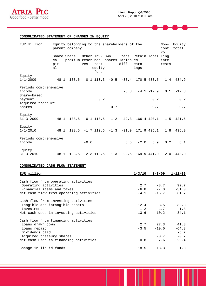

−

# **CONSOLIDATED STATEMENT OF CHANGES IN EQUITY**

| EUR million                                    |                                | Equity belonging to the shareholders of the<br>parent company |                       |                           |        |                                 |                                           |               | Non-<br>cont<br>roll | Equity<br>total |
|------------------------------------------------|--------------------------------|---------------------------------------------------------------|-----------------------|---------------------------|--------|---------------------------------|-------------------------------------------|---------------|----------------------|-----------------|
|                                                | Share Share<br>ca<br>pit<br>al | premium reser non- shares lation ed                           | Other Inv- Own<br>ves | $rest-$<br>equity<br>fund |        | diff-                           | Trans Retain Total ling<br>earn<br>ings   |               | inte<br>rests        |                 |
| Equity<br>$1 - 1 - 2009$                       | 48.1                           | 138.5                                                         |                       |                           |        | $0.1$ 110.3 $-0.5$ $-33.4$      |                                           | 170.5 433.5   |                      | 1.4 434.9       |
| Periods comprehensive<br>income<br>Share-based |                                |                                                               |                       |                           |        | $-8.8$                          |                                           | $-4.1 - 12.9$ | 0.1                  | $-12.8$         |
| payment<br>Acquired treasure                   |                                |                                                               |                       | 0.2                       |        |                                 |                                           | 0.2           |                      | 0.2             |
| shares                                         |                                |                                                               |                       |                           | $-0.7$ |                                 |                                           | $-0.7$        |                      | $-0.7$          |
| Equity<br>$31 - 3 - 2009$                      | 48.1                           | 138.5                                                         |                       |                           |        |                                 | $0.1$ 110.5 $-1.2$ $-42.3$ 166.4 420.1    |               |                      | 1.5 421.6       |
| Equity<br>$1 - 1 - 2010$                       | 48.1                           |                                                               |                       |                           |        |                                 | $138.5$ -1.7 110.6 -1.3 -31.0 171.9 435.1 |               | 1.8                  | 436.9           |
| Periods comprehensive<br>income                |                                |                                                               | $-0.6$                |                           |        | 8.5                             | $-2.0$                                    | 5.9           | 0.2                  | 6.1             |
| Equity<br>$31 - 3 - 2010$                      | 48.1                           |                                                               |                       |                           |        | $138.5 -2.3$ 110.6 $-1.3 -22.5$ | 169.9 441.0                               |               | 2.0                  | 443.0           |

# **CONSOLIDATED CASH FLOW STATEMENT**

| EUR million                             | $1 - 3/10$ $1 - 3/09$ | $1 - 12/09$        |
|-----------------------------------------|-----------------------|--------------------|
|                                         |                       |                    |
| Cash flow from operating activities     |                       |                    |
| Operating activities                    | $2.7 -8.7$ 92.7       |                    |
| Financial items and taxes               | $-6.8$ $-7.0$         | $-31.0$            |
| Net cash flow from operating activities | $-4.1$ $-15.7$        | 61.7               |
| Cash flow from investing activities     |                       |                    |
| Tangible and intangible assets          | $-12.4 -8.5$          | $-32.3$            |
| Investments                             | $-1.2$ $-1.7$ $-1.8$  |                    |
| Net cash used in investing activities   | $-13.6 -10.2$         | $-34.1$            |
| Cash flow from financing activities     |                       |                    |
| Loans drawn down                        | 2.7 27.3 41.8         |                    |
| Loans repaid                            | $-3.5 -19.0$          | $-64.8$            |
| Dividends paid                          |                       | $-5.7$             |
| Acquired treasury shares                |                       | $-0.7 -0.7$        |
| Net cash used in financing activities   | $-0.8$ 7.6            | $-29.4$            |
| Change in liquid funds                  |                       | $-18.5 -18.3 -1.8$ |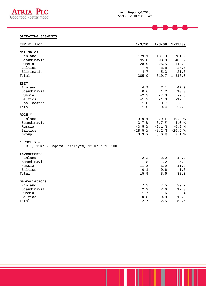

#### Interim Report Q1/2010 April 28, 2010 at 8.00 am

# **OPERATING SEGMENTS**

| EUR million                                   | $1 - 3/10$ | $1 - 3/09$       | $1 - 12/09$ |
|-----------------------------------------------|------------|------------------|-------------|
| Net sales                                     |            |                  |             |
| Finland                                       | 179.1      | 181.9            | 781.9       |
| Scandinavia                                   | 95.0       | 98.8             | 405.2       |
| Russia                                        | 28.9       | 26.5             | 113.0       |
| Baltics                                       | 7.6        | 8.8              | 37.5        |
| Eliminations                                  | $-4.7$     | $-5.3$           | $-21.6$     |
| Total                                         | 305.9      | 310.7            | 1 316.0     |
| <b>EBIT</b>                                   |            |                  |             |
| Finland                                       | 4.9        | 7.1              | 42.9        |
| Scandinavia                                   | 0.6        | 1.2              | 10.0        |
| Russia                                        | $-2.3$     | $-7.0$           | $-9.8$      |
| Baltics                                       | $-1.2$     | $-1.0$           | $-12.6$     |
| Unallocated                                   | $-1.0$     | $-0.7$           | $-3.0$      |
| Total                                         | 1.0        | $-0.4$           | 27.5        |
| ROCE *                                        |            |                  |             |
| Finland                                       | 9.9%       | 8.9 <sup>8</sup> | 10.2%       |
| Scandinavia                                   | 3.7%       | 3.7%             | 4.0%        |
| Russia                                        | $-3.5%$    | $-9.1$ %         | $-6.9$ %    |
| Baltics                                       | $-28.5%$   | $-8.2$ %         | $-26.5%$    |
| Group                                         | 3.3%       | 3.6%             | 3.1%        |
| * ROCE $\frac{1}{2}$ =                        |            |                  |             |
| EBIT, 12mr / Capital employed, 12 mr avg *100 |            |                  |             |
| Investments                                   |            |                  |             |
| Finland                                       | 2.2        | 2.9              | 14.2        |
| Scandinavia                                   | 1.8        | 1.2              | 5.3         |
| Russia                                        | 11.8       | 3.9              | 11.9        |
| Baltics                                       | 0.1        | 0.6              | 1.6         |
| Total                                         | 15.9       | 8.6              | 33.0        |
| Depreciations                                 |            |                  |             |
| Finland                                       | 7.3        | 7.5              | 29.7        |
| Scandinavia                                   | 2.9        | 2.6              | 12.0        |
| Russia                                        | 1.7        | 1.6              | $6.4$       |
| Baltics                                       | 0.8        | 0.8              | 10.5        |
| Total                                         | 12.7       | 12.5             | 58.6        |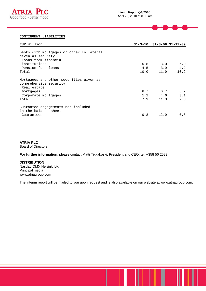

# **CONTINGENT LIABILITIES**

| EUR million                                                                           |            |             | $31 - 3 - 10$ $31 - 3 - 09$ $31 - 12 - 09$ |
|---------------------------------------------------------------------------------------|------------|-------------|--------------------------------------------|
| Debts with mortgages or other collateral<br>given as security<br>Loans from financial |            |             |                                            |
| institutions                                                                          | 5.5<br>4.5 | 8.0         | 6.0                                        |
| Pension fund loans<br>Total                                                           | 10.0       | 3.9<br>11.9 | 4.2<br>10.2                                |
| Mortgages and other securities given as<br>comprehensive security<br>Real estate      |            |             |                                            |
| mortgages                                                                             |            | 6.7 6.7     | 6.7                                        |
| Corporate mortgages<br>Total                                                          | 1.2<br>7.9 | 4.6<br>11.3 | 3.1<br>9.8                                 |
| Guarantee engagements not included<br>in the balance sheet                            |            |             |                                            |
| Guarantees                                                                            | 0.8        | 12.9        | 0.8                                        |

**ATRIA PLC**  Board of Directors

.

**For further information**, please contact Matti Tikkakoski, President and CEO, tel. +358 50 2582.

**DISTRIBUTION**  Nasdaq OMX Helsinki Ltd Principal media www.atriagroup.com

The interim report will be mailed to you upon request and is also available on our website at www.atriagroup.com.